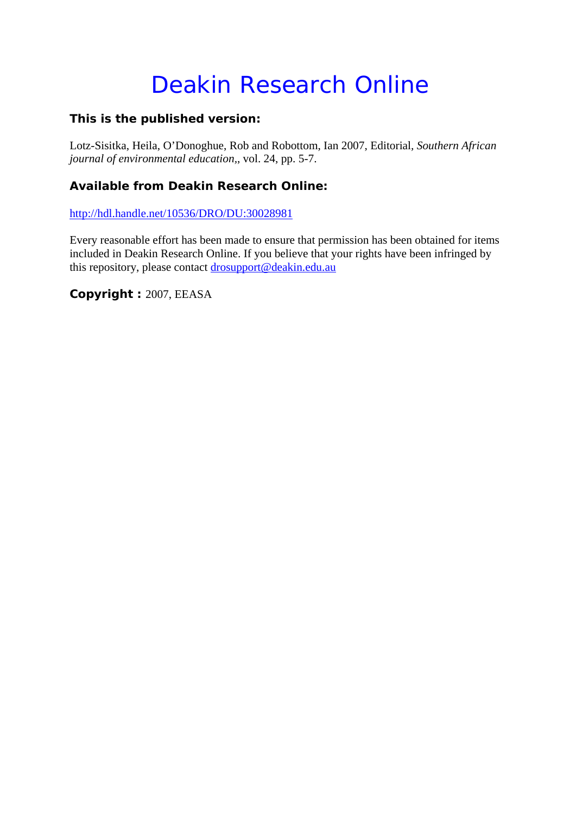## Deakin Research Online

## **This is the published version:**

Lotz-Sisitka, Heila, O'Donoghue, Rob and Robottom, Ian 2007, Editorial*, Southern African journal of environmental education,*, vol. 24, pp. 5-7.

## **Available from Deakin Research Online:**

http://hdl.handle.net/10536/DRO/DU:30028981

Every reasonable effort has been made to ensure that permission has been obtained for items included in Deakin Research Online. If you believe that your rights have been infringed by this repository, please contact drosupport@deakin.edu.au

**Copyright :** 2007, EEASA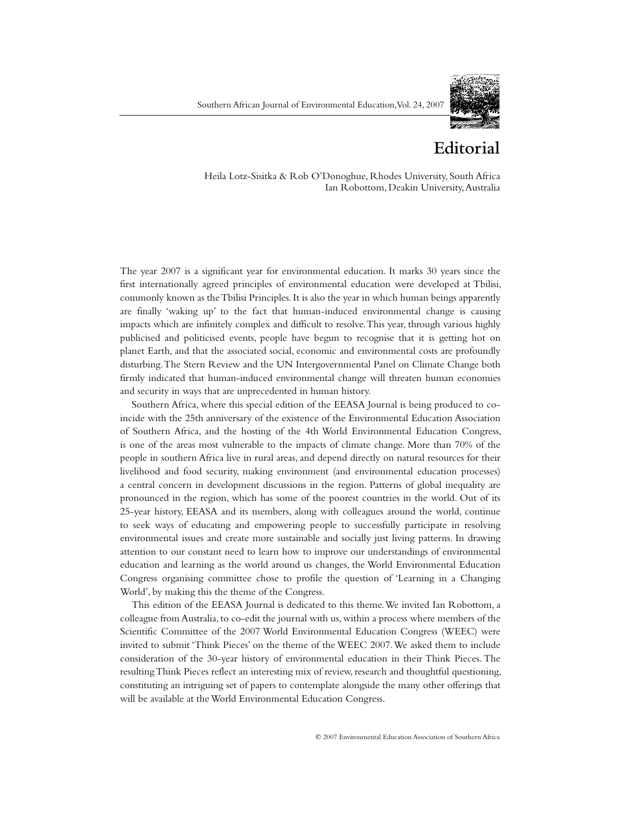

## **Editorial**

24, 2007The year 2007 is a significant year for environmental education. It marks 30 years since the Heila Lotz-Sisitka & Rob O'Donoghue, Rhodes University, South Africa Ian Robottom, Deakin University, Australia

first internationally agreed principles of environmental education were developed at Tbilisi, commonly known as the Tbilisi Principles. It is also the year in which human beings apparently are finally 'waking up' to the fact that human-induced environmental change is causing impacts which are infinitely complex and difficult to resolve. This year, through various highly publicised and politicised events, people have begun to recognise that it is getting hot on planet Earth, and that the associated social, economic and environmental costs are profoundly disturbing. The Stern Review and the UN Intergovernmental Panel on Climate Change both firmly indicated that human-induced environmental change will threaten human economies and security in ways that are unprecedented in human history.

Southern Africa, where this special edition of the EEASA Journal is being produced to coincide with the 25th anniversary of the existence of the Environmental Education Association of Southern Africa, and the hosting of the 4th World Environmental Education Congress, is one of the areas most vulnerable to the impacts of climate change. More than 70% of the people in southern Africa live in rural areas, and depend directly on natural resources for their livelihood and food security, making environment (and environmental education processes) a central concern in development discussions in the region. Patterns of global inequality are pronounced in the region, which has some of the poorest countries in the world. Out of its 25-year history, EEASA and its members, along with colleagues around the world, continue to seek ways of educating and empowering people to successfully participate in resolving environmental issues and create more sustainable and socially just living patterns. In drawing attention to our constant need to learn how to improve our understandings of environmental education and learning as the world around us changes, the World Environmental Education Congress organising committee chose to profile the question of 'Learning in a Changing World', by making this the theme of the Congress.

This edition of the EEASA Journal is dedicated to this theme. We invited Ian Robottom, a colleague from Australia, to co-edit the journal with us, within a process where members of the Scientific Committee of the 2007 World Environmental Education Congress (WEEC) were invited to submit 'Think Pieces' on the theme of the WEEC 2007. We asked them to include consideration of the 30-year history of environmental education in their Think Pieces. The resulting Think Pieces reflect an interesting mix of review, research and thoughtful questioning, constituting an intriguing set of papers to contemplate alongside the many other offerings that will be available at the World Environmental Education Congress.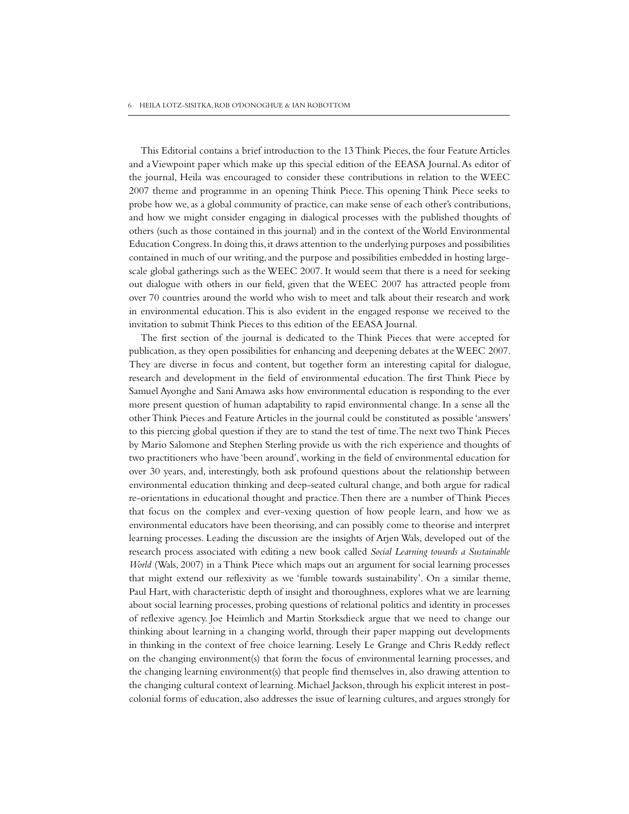This Editorial contains a brief introduction to the 13 Think Pieces, the four Feature Articles and a Viewpoint paper which make up this special edition of the EEASA Journal. As editor of the journal, Heila was encouraged to consider these contributions in relation to the WEEC 2007 theme and programme in an opening Think Piece. This opening Think Piece seeks to probe how we, as a global community of practice, can make sense of each other's contributions, and how we might consider engaging in dialogical processes with the published thoughts of others (such as those contained in this journal) and in the context of the World Environmental Education Congress. In doing this, it draws attention to the underlying purposes and possibilities contained in much of our writing, and the purpose and possibilities embedded in hosting largescale global gatherings such as the WEEC 2007. It would seem that there is a need for seeking out dialogue with others in our field, given that the WEEC 2007 has attracted people from over 70 countries around the world who wish to meet and talk about their research and work in environmental education. This is also evident in the engaged response we received to the invitation to submit Think Pieces to this edition of the EEASA Journal.

The first section of the journal is dedicated to the Think Pieces that were accepted for publication, as they open possibilities for enhancing and deepening debates at the WEEC 2007. They are diverse in focus and content, but together form an interesting capital for dialogue, research and development in the field of environmental education. The first Think Piece by Samuel Ayonghe and Sani Amawa asks how environmental education is responding to the ever more present question of human adaptability to rapid environmental change. In a sense all the other Think Pieces and Feature Articles in the journal could be constituted as possible 'answers' to this piercing global question if they are to stand the test of time. The next two Think Pieces by Mario Salomone and Stephen Sterling provide us with the rich experience and thoughts of two practitioners who have 'been around', working in the field of environmental education for over 30 years, and, interestingly, both ask profound questions about the relationship between environmental education thinking and deep-seated cultural change, and both argue for radical re-orientations in educational thought and practice. Then there are a number of Think Pieces that focus on the complex and ever-vexing question of how people learn, and how we as environmental educators have been theorising, and can possibly come to theorise and interpret learning processes. Leading the discussion are the insights of Arjen Wals, developed out of the research process associated with editing a new book called *Social Learning towards a Sustainable World* (Wals, 2007) in a Think Piece which maps out an argument for social learning processes that might extend our reflexivity as we 'fumble towards sustainability'. On a similar theme, Paul Hart, with characteristic depth of insight and thoroughness, explores what we are learning about social learning processes, probing questions of relational politics and identity in processes of reflexive agency. Joe Heimlich and Martin Storksdieck argue that we need to change our thinking about learning in a changing world, through their paper mapping out developments in thinking in the context of free choice learning. Lesely Le Grange and Chris Reddy reflect on the changing environment(s) that form the focus of environmental learning processes, and the changing learning environment(s) that people find themselves in, also drawing attention to the changing cultural context of learning. Michael Jackson, through his explicit interest in postcolonial forms of education, also addresses the issue of learning cultures, and argues strongly for